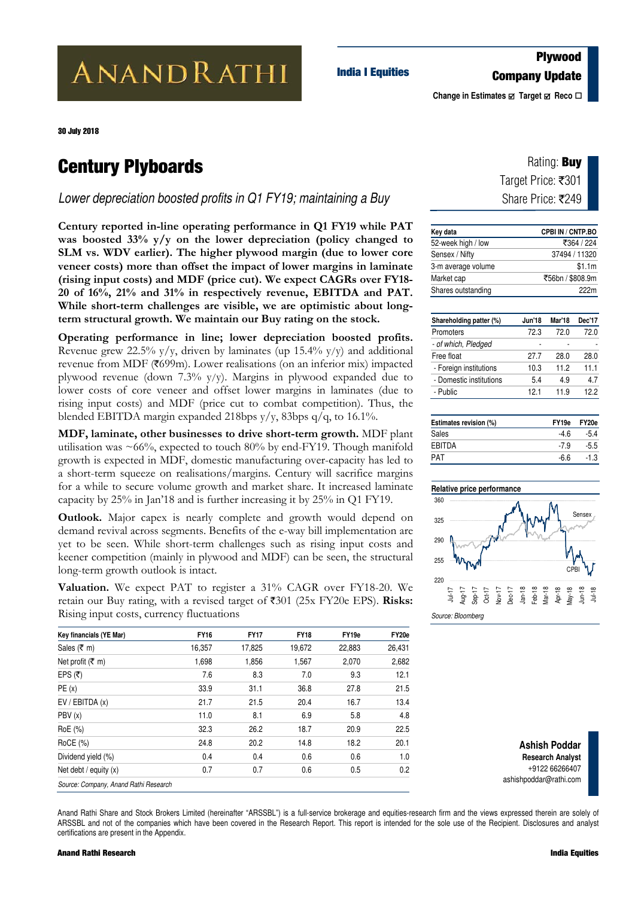# **ANANDRATHI**

## **Plywood Company Update India I Equities**

**Change in Estimates Ø** Target **Ø** Reco **□** 

30 July 2018

## **Century Plyboards**

*Lower depreciation boosted profits in Q1 FY19; maintaining a Buy* 

**Century reported in-line operating performance in Q1 FY19 while PAT was boosted 33% y/y on the lower depreciation (policy changed to SLM vs. WDV earlier). The higher plywood margin (due to lower core veneer costs) more than offset the impact of lower margins in laminate (rising input costs) and MDF (price cut). We expect CAGRs over FY18- 20 of 16%, 21% and 31% in respectively revenue, EBITDA and PAT. While short-term challenges are visible, we are optimistic about longterm structural growth. We maintain our Buy rating on the stock.** 

**Operating performance in line; lower depreciation boosted profits.** Revenue grew 22.5%  $y/y$ , driven by laminates (up 15.4%  $y/y$ ) and additional revenue from MDF ( $\text{\textdegree}$ 699m). Lower realisations (on an inferior mix) impacted plywood revenue (down 7.3% y/y). Margins in plywood expanded due to lower costs of core veneer and offset lower margins in laminates (due to rising input costs) and MDF (price cut to combat competition). Thus, the blended EBITDA margin expanded 218bps y/y, 83bps q/q, to 16.1%.

**MDF, laminate, other businesses to drive short-term growth.** MDF plant utilisation was  $\sim 66\%$ , expected to touch 80% by end-FY19. Though manifold growth is expected in MDF, domestic manufacturing over-capacity has led to a short-term squeeze on realisations/margins. Century will sacrifice margins for a while to secure volume growth and market share. It increased laminate capacity by 25% in Jan'18 and is further increasing it by 25% in Q1 FY19.

` yet to be seen. While short-term challenges such as rising input costs and **Outlook.** Major capex is nearly complete and growth would depend on demand revival across segments. Benefits of the e-way bill implementation are keener competition (mainly in plywood and MDF) can be seen, the structural long-term growth outlook is intact.

**Valuation.** We expect PAT to register a 31% CAGR over FY18-20. We retain our Buy rating, with a revised target of  $\overline{\xi}301$  (25x FY20e EPS). **Risks:** Rising input costs, currency fluctuations

| Key financials (YE Mar)               | <b>FY16</b> | <b>FY17</b> | <b>FY18</b> | FY19e  | FY20e  |
|---------------------------------------|-------------|-------------|-------------|--------|--------|
| Sales ( $\bar{\tau}$ m)               | 16,357      | 17,825      | 19,672      | 22,883 | 26,431 |
| Net profit (₹ m)                      | 1,698       | 1,856       | 1,567       | 2,070  | 2,682  |
| EPS (₹)                               | 7.6         | 8.3         | 7.0         | 9.3    | 12.1   |
| PE(x)                                 | 33.9        | 31.1        | 36.8        | 27.8   | 21.5   |
| EV / EBITDA(x)                        | 21.7        | 21.5        | 20.4        | 16.7   | 13.4   |
| PBV (x)                               | 11.0        | 8.1         | 6.9         | 5.8    | 4.8    |
| RoE (%)                               | 32.3        | 26.2        | 18.7        | 20.9   | 22.5   |
| RoCE (%)                              | 24.8        | 20.2        | 14.8        | 18.2   | 20.1   |
| Dividend yield (%)                    | 0.4         | 0.4         | 0.6         | 0.6    | 1.0    |
| Net debt / equity $(x)$               | 0.7         | 0.7         | 0.6         | 0.5    | 0.2    |
| Source: Company, Anand Rathi Research |             |             |             |        |        |

| Rating: <b>Buy</b> |  |
|--------------------|--|
| Target Price: ₹301 |  |
| Share Price: ₹249  |  |

| Key data           | <b>CPBI IN / CNTP.BO</b> |
|--------------------|--------------------------|
| 52-week high / low | ₹364 / 224               |
| Sensex / Nifty     | 37494 / 11320            |
| 3-m average volume | \$1.1m                   |
| Market cap         | ₹56bn / \$808.9m         |
| Shares outstanding | 222m                     |

| Shareholding patter (%) | <b>Jun'18</b> | Mar'18 | Dec'17 |
|-------------------------|---------------|--------|--------|
| Promoters               | 72.3          | 72.0   | 72.0   |
| - of which, Pledged     |               |        |        |
| Free float              | 27.7          | 28.0   | 28.0   |
| - Foreign institutions  | 10.3          | 11.2   | 11.1   |
| - Domestic institutions | 5.4           | 49     | 4.7    |
| - Public                | 121           | 11.9   | 122    |

| Estimates revision (%) | FY <sub>19e</sub> | FY20e  |
|------------------------|-------------------|--------|
| Sales                  | -4.6              | $-5.4$ |
| <b>EBITDA</b>          | $-79$             | $-5.5$ |
| <b>PAT</b>             | -6.6              | $-1.3$ |



**Ashish Poddar Research Analyst**  +9122 66266407 ashishpoddar@rathi.com

Anand Rathi Share and Stock Brokers Limited (hereinafter "ARSSBL") is a full-service brokerage and equities-research firm and the views expressed therein are solely of ARSSBL and not of the companies which have been covered in the Research Report. This report is intended for the sole use of the Recipient. Disclosures and analyst certifications are present in the Appendix.

#### **Anand Rathi Research India Equities**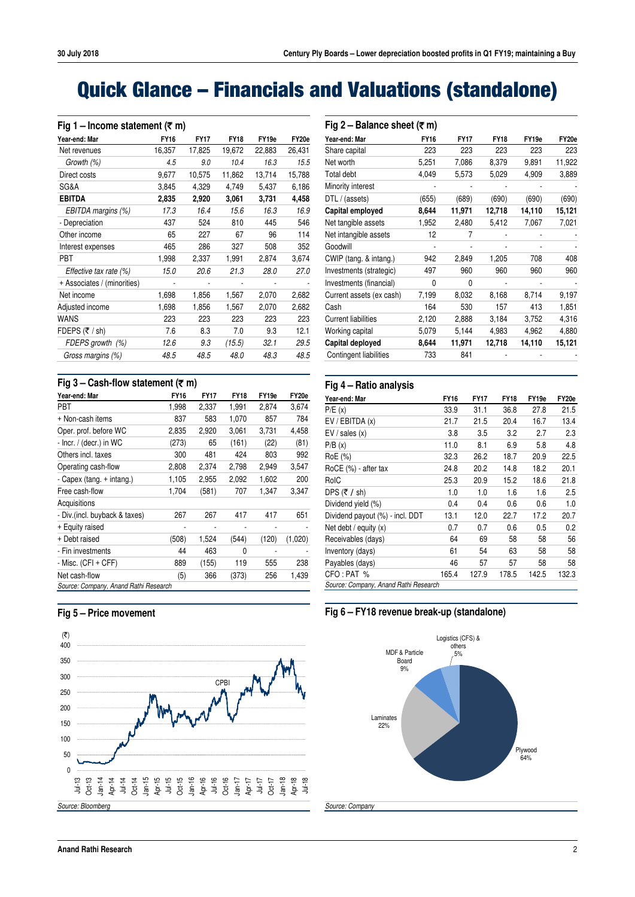## **Quick Glance – Financials and Valuations (standalone)**

| Year-end: Mar               | <b>FY16</b> | <b>FY17</b> | <b>FY18</b> | FY19e  | FY20e  |
|-----------------------------|-------------|-------------|-------------|--------|--------|
| Net revenues                | 16,357      | 17,825      | 19,672      | 22,883 | 26,431 |
| Growth (%)                  | 4.5         | 9.0         | 10.4        | 16.3   | 15.5   |
| Direct costs                | 9,677       | 10,575      | 11,862      | 13,714 | 15,788 |
| SG&A                        | 3,845       | 4,329       | 4,749       | 5,437  | 6,186  |
| <b>EBITDA</b>               | 2,835       | 2,920       | 3,061       | 3,731  | 4,458  |
| EBITDA margins (%)          | 17.3        | 16.4        | 15.6        | 16.3   | 16.9   |
| - Depreciation              | 437         | 524         | 810         | 445    | 546    |
| Other income                | 65          | 227         | 67          | 96     | 114    |
| Interest expenses           | 465         | 286         | 327         | 508    | 352    |
| PBT                         | 1,998       | 2,337       | 1,991       | 2,874  | 3,674  |
| Effective tax rate (%)      | 15.0        | 20.6        | 21.3        | 28.0   | 27.0   |
| + Associates / (minorities) |             |             |             |        |        |
| Net income                  | 1,698       | 1,856       | 1,567       | 2,070  | 2,682  |
| Adjusted income             | 1,698       | 1,856       | 1,567       | 2,070  | 2,682  |
| WANS                        | 223         | 223         | 223         | 223    | 223    |
| FDEPS (₹ / sh)              | 7.6         | 8.3         | 7.0         | 9.3    | 12.1   |
| FDEPS growth (%)            | 12.6        | 9.3         | (15.5)      | 32.1   | 29.5   |
| Gross margins (%)           | 48.5        | 48.5        | 48.0        | 48.3   | 48.5   |

| Fig 3 – Cash-flow statement (₹ m)     |             |             |             |                   |         |  |  |  |  |  |
|---------------------------------------|-------------|-------------|-------------|-------------------|---------|--|--|--|--|--|
| Year-end: Mar                         | <b>FY16</b> | <b>FY17</b> | <b>FY18</b> | FY <sub>19e</sub> | FY20e   |  |  |  |  |  |
| <b>PBT</b>                            | 1,998       | 2,337       | 1,991       | 2,874             | 3,674   |  |  |  |  |  |
| + Non-cash items                      | 837         | 583         | 1,070       | 857               | 784     |  |  |  |  |  |
| Oper. prof. before WC                 | 2,835       | 2,920       | 3,061       | 3,731             | 4,458   |  |  |  |  |  |
| - Incr. / (decr.) in WC               | (273)       | 65          | (161)       | (22)              | (81)    |  |  |  |  |  |
| Others incl. taxes                    | 300         | 481         | 424         | 803               | 992     |  |  |  |  |  |
| Operating cash-flow                   | 2,808       | 2,374       | 2,798       | 2,949             | 3,547   |  |  |  |  |  |
| - Capex (tang. + intang.)             | 1,105       | 2,955       | 2,092       | 1,602             | 200     |  |  |  |  |  |
| Free cash-flow                        | 1,704       | (581)       | 707         | 1,347             | 3,347   |  |  |  |  |  |
| Acquisitions                          |             |             |             |                   |         |  |  |  |  |  |
| - Div. (incl. buyback & taxes)        | 267         | 267         | 417         | 417               | 651     |  |  |  |  |  |
| + Equity raised                       |             |             |             |                   |         |  |  |  |  |  |
| + Debt raised                         | (508)       | 1,524       | (544)       | (120)             | (1,020) |  |  |  |  |  |
| - Fin investments                     | 44          | 463         | 0           |                   |         |  |  |  |  |  |
| $-Misc.$ (CFI + CFF)                  | 889         | (155)       | 119         | 555               | 238     |  |  |  |  |  |
| Net cash-flow                         | (5)         | 366         | (373)       | 256               | 1,439   |  |  |  |  |  |
| Source: Company, Anand Rathi Research |             |             |             |                   |         |  |  |  |  |  |

## **Fig 5 – Price movement**



| Fig 2 – Balance sheet (₹ m) |             |             |             |        |        |  |  |  |  |  |
|-----------------------------|-------------|-------------|-------------|--------|--------|--|--|--|--|--|
| Year-end: Mar               | <b>FY16</b> | <b>FY17</b> | <b>FY18</b> | FY19e  | FY20e  |  |  |  |  |  |
| Share capital               | 223         | 223         | 223         | 223    | 223    |  |  |  |  |  |
| Net worth                   | 5,251       | 7,086       | 8,379       | 9,891  | 11,922 |  |  |  |  |  |
| Total debt                  | 4,049       | 5,573       | 5,029       | 4,909  | 3,889  |  |  |  |  |  |
| Minority interest           |             |             |             |        |        |  |  |  |  |  |
| DTL / (assets)              | (655)       | (689)       | (690)       | (690)  | (690)  |  |  |  |  |  |
| Capital employed            | 8,644       | 11,971      | 12,718      | 14,110 | 15,121 |  |  |  |  |  |
| Net tangible assets         | 1,952       | 2,480       | 5,412       | 7,067  | 7,021  |  |  |  |  |  |
| Net intangible assets       | 12          | 7           |             |        |        |  |  |  |  |  |
| Goodwill                    |             |             |             |        |        |  |  |  |  |  |
| CWIP (tang. & intang.)      | 942         | 2,849       | 1,205       | 708    | 408    |  |  |  |  |  |
| Investments (strategic)     | 497         | 960         | 960         | 960    | 960    |  |  |  |  |  |
| Investments (financial)     | 0           | $\Omega$    |             |        |        |  |  |  |  |  |
| Current assets (ex cash)    | 7,199       | 8,032       | 8,168       | 8,714  | 9,197  |  |  |  |  |  |
| Cash                        | 164         | 530         | 157         | 413    | 1,851  |  |  |  |  |  |
| <b>Current liabilities</b>  | 2,120       | 2,888       | 3,184       | 3,752  | 4,316  |  |  |  |  |  |
| Working capital             | 5,079       | 5,144       | 4,983       | 4,962  | 4,880  |  |  |  |  |  |
| Capital deployed            | 8,644       | 11,971      | 12,718      | 14,110 | 15,121 |  |  |  |  |  |
| Contingent liabilities      | 733         | 841         |             |        |        |  |  |  |  |  |
|                             |             |             |             |        |        |  |  |  |  |  |

### **Fig 4 – Ratio analysis**

| Year-end: Mar                         | <b>FY16</b> | <b>FY17</b> | <b>FY18</b> | FY19e | FY20e |
|---------------------------------------|-------------|-------------|-------------|-------|-------|
| P/E(x)                                | 33.9        | 31.1        | 36.8        | 27.8  | 21.5  |
| EV / EBITDA(x)                        | 21.7        | 21.5        | 20.4        | 16.7  | 13.4  |
| EV / sales(x)                         | 3.8         | 3.5         | 3.2         | 2.7   | 2.3   |
| P/B(x)                                | 11.0        | 8.1         | 6.9         | 5.8   | 4.8   |
| RoE (%)                               | 32.3        | 26.2        | 18.7        | 20.9  | 22.5  |
| RoCE (%) - after tax                  | 24.8        | 20.2        | 14.8        | 18.2  | 20.1  |
| RoIC                                  | 25.3        | 20.9        | 15.2        | 18.6  | 21.8  |
| DPS (₹ / sh)                          | 1.0         | 1.0         | 1.6         | 1.6   | 2.5   |
| Dividend yield (%)                    | 0.4         | 0.4         | 0.6         | 0.6   | 1.0   |
| Dividend payout (%) - incl. DDT       | 13.1        | 12.0        | 22.7        | 17.2  | 20.7  |
| Net debt / equity $(x)$               | 0.7         | 0.7         | 0.6         | 0.5   | 0.2   |
| Receivables (days)                    | 64          | 69          | 58          | 58    | 56    |
| Inventory (days)                      | 61          | 54          | 63          | 58    | 58    |
| Payables (days)                       | 46          | 57          | 57          | 58    | 58    |
| CFO: PAT %                            | 165.4       | 127.9       | 178.5       | 142.5 | 132.3 |
| Source: Company, Anand Rathi Research |             |             |             |       |       |

## **Fig 6 – FY18 revenue break-up (standalone)**

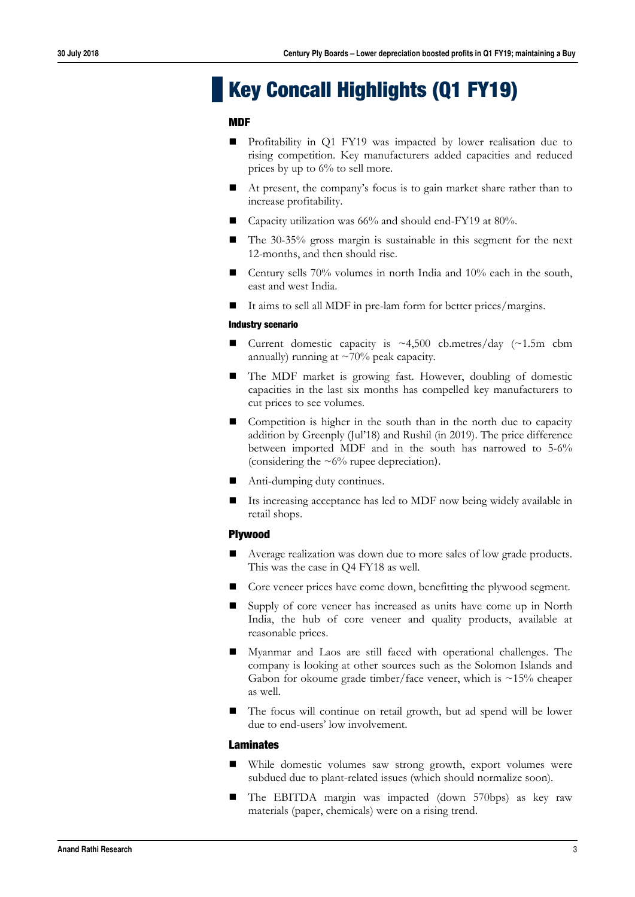## **Key Concall Highlights (Q1 FY19)**

### **MDF**

- Profitability in Q1 FY19 was impacted by lower realisation due to rising competition. Key manufacturers added capacities and reduced prices by up to 6% to sell more.
- At present, the company's focus is to gain market share rather than to increase profitability.
- Capacity utilization was 66% and should end-FY19 at 80%.
- The 30-35% gross margin is sustainable in this segment for the next 12-months, and then should rise.
- Century sells 70% volumes in north India and 10% each in the south, east and west India.
- It aims to sell all MDF in pre-lam form for better prices/margins.

#### **Industry scenario**

- Current domestic capacity is  $\sim$  4,500 cb.metres/day ( $\sim$  1.5m cbm annually) running at  $\sim$ 70% peak capacity.
- The MDF market is growing fast. However, doubling of domestic capacities in the last six months has compelled key manufacturers to cut prices to see volumes.
- Competition is higher in the south than in the north due to capacity addition by Greenply (Jul'18) and Rushil (in 2019). The price difference between imported MDF and in the south has narrowed to 5-6% (considering the  $\sim 6\%$  rupee depreciation).
- Anti-dumping duty continues.
- Its increasing acceptance has led to MDF now being widely available in retail shops.

## **Plywood**

- Average realization was down due to more sales of low grade products. This was the case in Q4 FY18 as well.
- Core veneer prices have come down, benefitting the plywood segment.
- Supply of core veneer has increased as units have come up in North India, the hub of core veneer and quality products, available at reasonable prices.
- Myanmar and Laos are still faced with operational challenges. The company is looking at other sources such as the Solomon Islands and Gabon for okoume grade timber/face veneer, which is  $\sim$ 15% cheaper as well.
- The focus will continue on retail growth, but ad spend will be lower due to end-users' low involvement.

#### **Laminates**

- While domestic volumes saw strong growth, export volumes were subdued due to plant-related issues (which should normalize soon).
- The EBITDA margin was impacted (down 570bps) as key raw materials (paper, chemicals) were on a rising trend.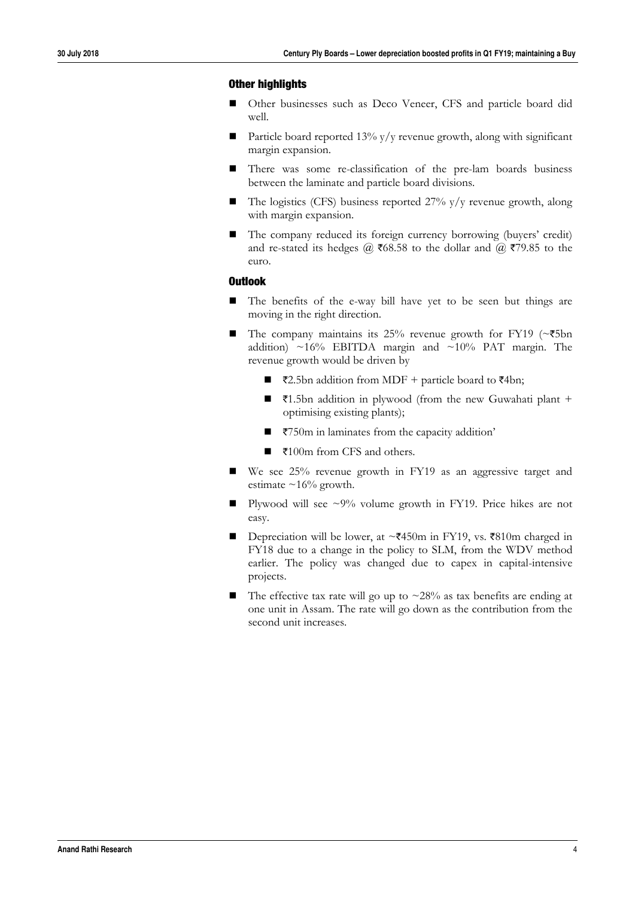## **Other highlights**

- Other businesses such as Deco Veneer, CFS and particle board did well.
- **Particle board reported 13% y/y revenue growth, along with significant** margin expansion.
- There was some re-classification of the pre-lam boards business between the laminate and particle board divisions.
- $\blacksquare$  The logistics (CFS) business reported 27% y/y revenue growth, along with margin expansion.
- The company reduced its foreign currency borrowing (buyers' credit) and re-stated its hedges @  $\overline{\epsilon}$ 68.58 to the dollar and @  $\overline{\epsilon}$ 79.85 to the euro.

## **Outlook**

- The benefits of the e-way bill have yet to be seen but things are moving in the right direction.
- The company maintains its 25% revenue growth for FY19 ( $\sim$ ₹5bn addition)  $\sim$ 16% EBITDA margin and  $\sim$ 10% PAT margin. The revenue growth would be driven by
	- $\overline{22.5}$ bn addition from MDF + particle board to  $\overline{24}$ bn;
	- ₹1.5bn addition in plywood (from the new Guwahati plant + optimising existing plants);
	- $\blacksquare$   $\bar{\tau}$ 750m in laminates from the capacity addition'
	- ₹100m from CFS and others.
- We see 25% revenue growth in FY19 as an aggressive target and estimate  $\sim$ 16% growth.
- **Plywood will see**  $\sim 9\%$  **volume growth in FY19. Price hikes are not** easy.
- Depreciation will be lower, at  $\sim$ ₹450m in FY19, vs. ₹810m charged in FY18 due to a change in the policy to SLM, from the WDV method earlier. The policy was changed due to capex in capital-intensive projects.
- The effective tax rate will go up to  $\sim 28\%$  as tax benefits are ending at one unit in Assam. The rate will go down as the contribution from the second unit increases.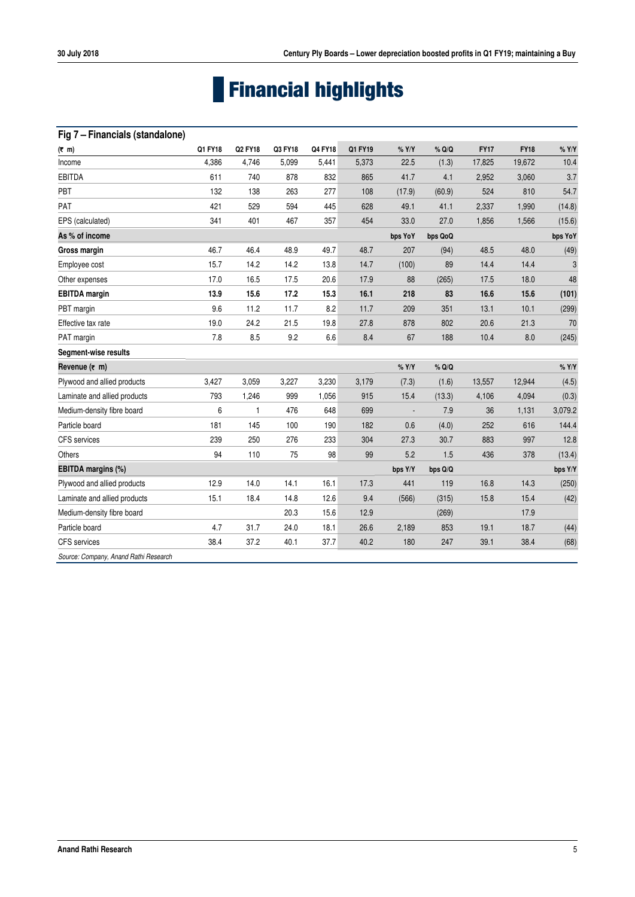# **Financial highlights**

## **Fig 7 – Financials (standalone)**

| $(7 \text{ m})$                       | Q1 FY18 | Q2 FY18 | Q3 FY18 | Q4 FY18 | Q1 FY19 | $%$ Y/Y                  | % Q/Q   | <b>FY17</b> | <b>FY18</b> | $%$ Y/Y |
|---------------------------------------|---------|---------|---------|---------|---------|--------------------------|---------|-------------|-------------|---------|
| Income                                | 4,386   | 4,746   | 5,099   | 5,441   | 5,373   | 22.5                     | (1.3)   | 17,825      | 19,672      | 10.4    |
| <b>EBITDA</b>                         | 611     | 740     | 878     | 832     | 865     | 41.7                     | 4.1     | 2,952       | 3,060       | 3.7     |
| PBT                                   | 132     | 138     | 263     | 277     | 108     | (17.9)                   | (60.9)  | 524         | 810         | 54.7    |
| PAT                                   | 421     | 529     | 594     | 445     | 628     | 49.1                     | 41.1    | 2,337       | 1,990       | (14.8)  |
| EPS (calculated)                      | 341     | 401     | 467     | 357     | 454     | 33.0                     | 27.0    | 1,856       | 1,566       | (15.6)  |
| As % of income                        |         |         |         |         |         | bps YoY                  | bps QoQ |             |             | bps YoY |
| Gross margin                          | 46.7    | 46.4    | 48.9    | 49.7    | 48.7    | 207                      | (94)    | 48.5        | 48.0        | (49)    |
| Employee cost                         | 15.7    | 14.2    | 14.2    | 13.8    | 14.7    | (100)                    | 89      | 14.4        | 14.4        | 3       |
| Other expenses                        | 17.0    | 16.5    | 17.5    | 20.6    | 17.9    | 88                       | (265)   | 17.5        | 18.0        | 48      |
| <b>EBITDA</b> margin                  | 13.9    | 15.6    | 17.2    | 15.3    | 16.1    | 218                      | 83      | 16.6        | 15.6        | (101)   |
| PBT margin                            | 9.6     | 11.2    | 11.7    | 8.2     | 11.7    | 209                      | 351     | 13.1        | 10.1        | (299)   |
| Effective tax rate                    | 19.0    | 24.2    | 21.5    | 19.8    | 27.8    | 878                      | 802     | 20.6        | 21.3        | 70      |
| PAT margin                            | 7.8     | 8.5     | 9.2     | 6.6     | 8.4     | 67                       | 188     | 10.4        | 8.0         | (245)   |
| Segment-wise results                  |         |         |         |         |         |                          |         |             |             |         |
| Revenue $(\bar{\tau}$ m)              |         |         |         |         |         | $%$ Y/Y                  | % Q/Q   |             |             | $%$ Y/Y |
| Plywood and allied products           | 3,427   | 3,059   | 3,227   | 3,230   | 3,179   | (7.3)                    | (1.6)   | 13,557      | 12,944      | (4.5)   |
| Laminate and allied products          | 793     | 1,246   | 999     | 1,056   | 915     | 15.4                     | (13.3)  | 4,106       | 4,094       | (0.3)   |
| Medium-density fibre board            | 6       | 1       | 476     | 648     | 699     | $\overline{\phantom{a}}$ | 7.9     | 36          | 1,131       | 3,079.2 |
| Particle board                        | 181     | 145     | 100     | 190     | 182     | 0.6                      | (4.0)   | 252         | 616         | 144.4   |
| <b>CFS</b> services                   | 239     | 250     | 276     | 233     | 304     | 27.3                     | 30.7    | 883         | 997         | 12.8    |
| Others                                | 94      | 110     | 75      | 98      | 99      | 5.2                      | 1.5     | 436         | 378         | (13.4)  |
| EBITDA margins (%)                    |         |         |         |         |         | bps Y/Y                  | bps Q/Q |             |             | bps Y/Y |
| Plywood and allied products           | 12.9    | 14.0    | 14.1    | 16.1    | 17.3    | 441                      | 119     | 16.8        | 14.3        | (250)   |
| Laminate and allied products          | 15.1    | 18.4    | 14.8    | 12.6    | 9.4     | (566)                    | (315)   | 15.8        | 15.4        | (42)    |
| Medium-density fibre board            |         |         | 20.3    | 15.6    | 12.9    |                          | (269)   |             | 17.9        |         |
| Particle board                        | 4.7     | 31.7    | 24.0    | 18.1    | 26.6    | 2,189                    | 853     | 19.1        | 18.7        | (44)    |
| <b>CFS</b> services                   | 38.4    | 37.2    | 40.1    | 37.7    | 40.2    | 180                      | 247     | 39.1        | 38.4        | (68)    |
| Source: Company, Anand Rathi Research |         |         |         |         |         |                          |         |             |             |         |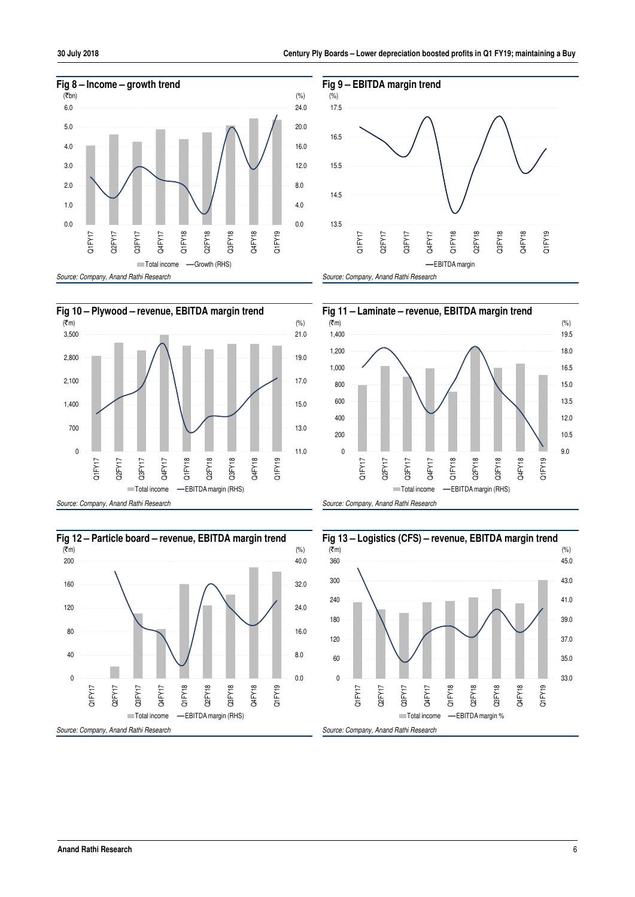









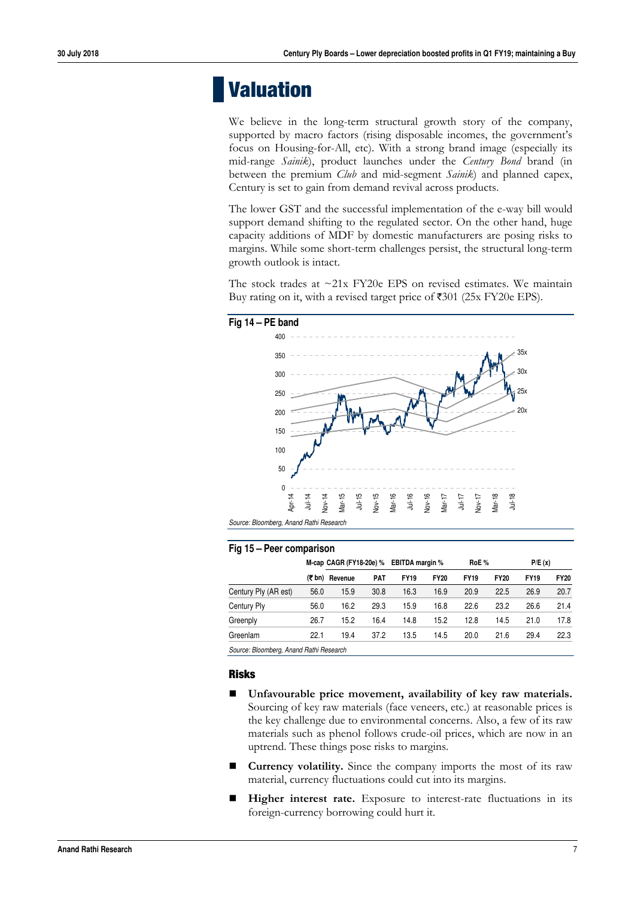## **Valuation**

We believe in the long-term structural growth story of the company, supported by macro factors (rising disposable incomes, the government's focus on Housing-for-All, etc). With a strong brand image (especially its mid-range *Sainik*), product launches under the *Century Bond* brand (in between the premium *Club* and mid-segment *Sainik*) and planned capex, Century is set to gain from demand revival across products.

The lower GST and the successful implementation of the e-way bill would support demand shifting to the regulated sector. On the other hand, huge capacity additions of MDF by domestic manufacturers are posing risks to margins. While some short-term challenges persist, the structural long-term growth outlook is intact.

The stock trades at  $\sim$ 21x FY20e EPS on revised estimates. We maintain Buy rating on it, with a revised target price of  $\text{\textsterling}301$  (25x FY20e EPS).

## **Fig 14 – PE band**



## **Fig 15 – Peer comparison**

|                                         |        | M-cap CAGR (FY18-20e) % |            | <b>EBITDA margin %</b> |             | RoE%        |             | P/E(x)      |             |
|-----------------------------------------|--------|-------------------------|------------|------------------------|-------------|-------------|-------------|-------------|-------------|
|                                         | (₹ bn) | Revenue                 | <b>PAT</b> | <b>FY19</b>            | <b>FY20</b> | <b>FY19</b> | <b>FY20</b> | <b>FY19</b> | <b>FY20</b> |
| Century Ply (AR est)                    | 56.0   | 15.9                    | 30.8       | 16.3                   | 16.9        | 20.9        | 22.5        | 26.9        | 20.7        |
| Century Ply                             | 56.0   | 16.2                    | 29.3       | 15.9                   | 16.8        | 22.6        | 23.2        | 26.6        | 21.4        |
| Greenply                                | 26.7   | 15.2                    | 16.4       | 14.8                   | 15.2        | 12.8        | 14.5        | 21.0        | 17.8        |
| Greenlam                                | 22.1   | 19.4                    | 37.2       | 13.5                   | 14.5        | 20.0        | 21.6        | 29.4        | 22.3        |
| Source: Bloomberg, Anand Rathi Research |        |                         |            |                        |             |             |             |             |             |

**Risks** 

- **Unfavourable price movement, availability of key raw materials.** Sourcing of key raw materials (face veneers, etc.) at reasonable prices is the key challenge due to environmental concerns. Also, a few of its raw materials such as phenol follows crude-oil prices, which are now in an uptrend. These things pose risks to margins.
- **Currency volatility.** Since the company imports the most of its raw material, currency fluctuations could cut into its margins.
- **Higher interest rate.** Exposure to interest-rate fluctuations in its foreign-currency borrowing could hurt it.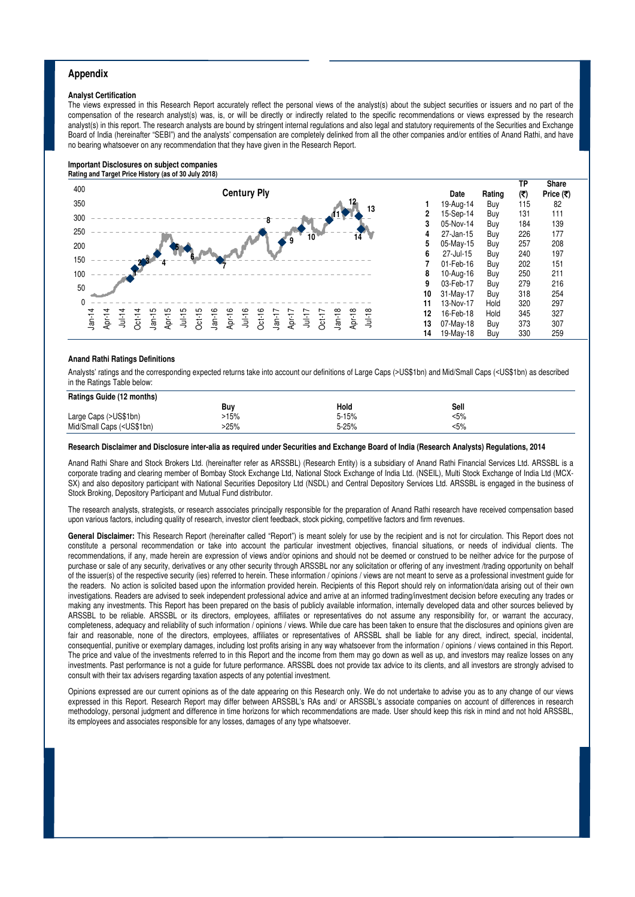#### **Appendix**

#### **Analyst Certification**

The views expressed in this Research Report accurately reflect the personal views of the analyst(s) about the subject securities or issuers and no part of the compensation of the research analyst(s) was, is, or will be directly or indirectly related to the specific recommendations or views expressed by the research analyst(s) in this report. The research analysts are bound by stringent internal regulations and also legal and statutory requirements of the Securities and Exchange Board of India (hereinafter "SEBI") and the analysts' compensation are completely delinked from all the other companies and/or entities of Anand Rathi, and have no bearing whatsoever on any recommendation that they have given in the Research Report.

#### **Important Disclosures on subject companies Rating and Target Price History (as of 30 July 2018)**



#### **Anand Rathi Ratings Definitions**

Analysts' ratings and the corresponding expected returns take into account our definitions of Large Caps (>US\$1bn) and Mid/Small Caps (<US\$1bn) as described in the Ratings Table below:

| Ratings Guide (12 months)                                                                   |      |           |      |
|---------------------------------------------------------------------------------------------|------|-----------|------|
|                                                                                             | Buy  | Hold      | Sell |
| Large Caps (>US\$1bn)                                                                       | 5%   | $5 - 15%$ | <5%  |
| Mid/Small Caps ( <us\$1bn)< td=""><td>&gt;25%</td><td>5-25%</td><td>&lt;5%</td></us\$1bn)<> | >25% | 5-25%     | <5%  |

#### **Research Disclaimer and Disclosure inter-alia as required under Securities and Exchange Board of India (Research Analysts) Regulations, 2014**

Anand Rathi Share and Stock Brokers Ltd. (hereinafter refer as ARSSBL) (Research Entity) is a subsidiary of Anand Rathi Financial Services Ltd. ARSSBL is a corporate trading and clearing member of Bombay Stock Exchange Ltd, National Stock Exchange of India Ltd. (NSEIL), Multi Stock Exchange of India Ltd (MCX-SX) and also depository participant with National Securities Depository Ltd (NSDL) and Central Depository Services Ltd. ARSSBL is engaged in the business of Stock Broking, Depository Participant and Mutual Fund distributor.

The research analysts, strategists, or research associates principally responsible for the preparation of Anand Rathi research have received compensation based upon various factors, including quality of research, investor client feedback, stock picking, competitive factors and firm revenues.

General Disclaimer: This Research Report (hereinafter called "Report") is meant solely for use by the recipient and is not for circulation. This Report does not constitute a personal recommendation or take into account the particular investment objectives, financial situations, or needs of individual clients. The recommendations, if any, made herein are expression of views and/or opinions and should not be deemed or construed to be neither advice for the purpose of purchase or sale of any security, derivatives or any other security through ARSSBL nor any solicitation or offering of any investment /trading opportunity on behalf of the issuer(s) of the respective security (ies) referred to herein. These information / opinions / views are not meant to serve as a professional investment guide for the readers. No action is solicited based upon the information provided herein. Recipients of this Report should rely on information/data arising out of their own investigations. Readers are advised to seek independent professional advice and arrive at an informed trading/investment decision before executing any trades or making any investments. This Report has been prepared on the basis of publicly available information, internally developed data and other sources believed by ARSSBL to be reliable. ARSSBL or its directors, employees, affiliates or representatives do not assume any responsibility for, or warrant the accuracy, completeness, adequacy and reliability of such information / opinions / views. While due care has been taken to ensure that the disclosures and opinions given are fair and reasonable, none of the directors, employees, affiliates or representatives of ARSSBL shall be liable for any direct, indirect, special, incidental, consequential, punitive or exemplary damages, including lost profits arising in any way whatsoever from the information / opinions / views contained in this Report. The price and value of the investments referred to in this Report and the income from them may go down as well as up, and investors may realize losses on any investments. Past performance is not a guide for future performance. ARSSBL does not provide tax advice to its clients, and all investors are strongly advised to consult with their tax advisers regarding taxation aspects of any potential investment.

Opinions expressed are our current opinions as of the date appearing on this Research only. We do not undertake to advise you as to any change of our views expressed in this Report. Research Report may differ between ARSSBL's RAs and/ or ARSSBL's associate companies on account of differences in research methodology, personal judgment and difference in time horizons for which recommendations are made. User should keep this risk in mind and not hold ARSSBL, its employees and associates responsible for any losses, damages of any type whatsoever.